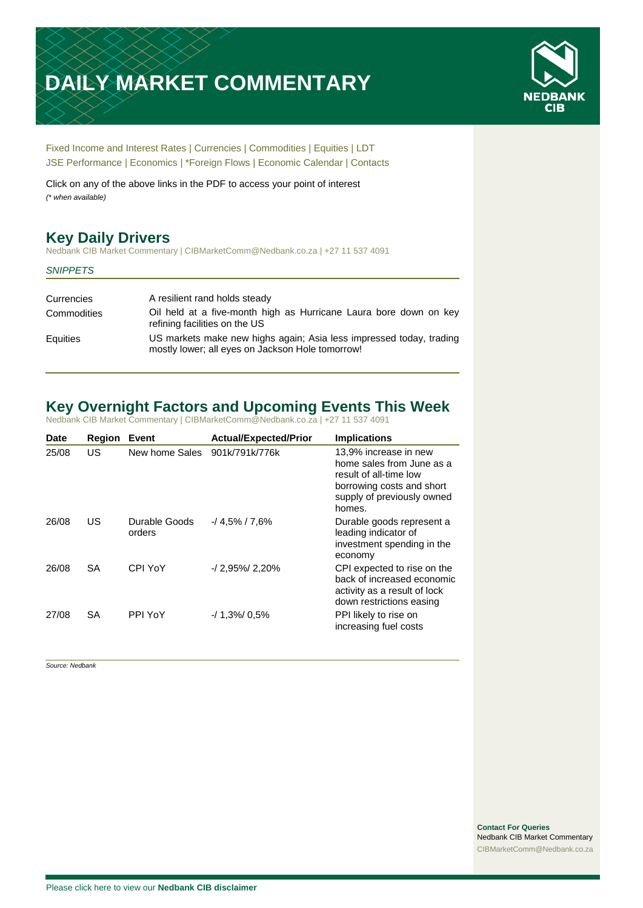# **DAILY MARKET COMMENTARY**



[Fixed Income and Interest Rates](#page-1-0) | [Currencies](#page-2-0) | [Commodities](#page-3-0) [| Equities](#page-4-0) | [LDT](#page-5-0) [JSE Performance](#page-6-0) | [Economics](#page-6-1) | [\\*Foreign Flows](#page-7-0) | [Economic Calendar](#page-7-0) | [Contacts](#page-8-0)

Click on any of the above links in the PDF to access your point of interest *(\* when available)*

# **Key Daily Drivers**

Nedbank CIB Market Commentary | CIBMarketComm@Nedbank.co.za | +27 11 537 4091

#### *SNIPPETS*

| Currencies  | A resilient rand holds steady                                                                                           |
|-------------|-------------------------------------------------------------------------------------------------------------------------|
| Commodities | Oil held at a five-month high as Hurricane Laura bore down on key<br>refining facilities on the US                      |
| Equities    | US markets make new highs again; Asia less impressed today, trading<br>mostly lower; all eyes on Jackson Hole tomorrow! |

# **Key Overnight Factors and Upcoming Events This Week**

Nedbank CIB Market Commentary | CIBMarketComm@Nedbank.co.za | +27 11 537 4091

| <b>Date</b> | <b>Region</b> | <b>Event</b>            | <b>Actual/Expected/Prior</b> | <b>Implications</b>                                                                                                                               |
|-------------|---------------|-------------------------|------------------------------|---------------------------------------------------------------------------------------------------------------------------------------------------|
| 25/08       | US            | New home Sales          | 901k/791k/776k               | 13,9% increase in new<br>home sales from June as a<br>result of all-time low<br>borrowing costs and short<br>supply of previously owned<br>homes. |
| 26/08       | US            | Durable Goods<br>orders | $-14.5\%$ / 7.6%             | Durable goods represent a<br>leading indicator of<br>investment spending in the<br>economy                                                        |
| 26/08       | SA            | CPI YoY                 | $-12,95\%$ 2,20%             | CPI expected to rise on the<br>back of increased economic<br>activity as a result of lock<br>down restrictions easing                             |
| 27/08       | <b>SA</b>     | PPI YoY                 | $-1.3\%$ 0.5%                | PPI likely to rise on<br>increasing fuel costs                                                                                                    |

*Source: Nedbank*

**Contact For Queries** Nedbank CIB Market Commentary [CIBMarketComm@Nedbank.co.za](file:///C:/Users/Paul-Rose/AppData/Roaming/Bluecurve/templates/CIBMarketComm@Nedbank.co.za)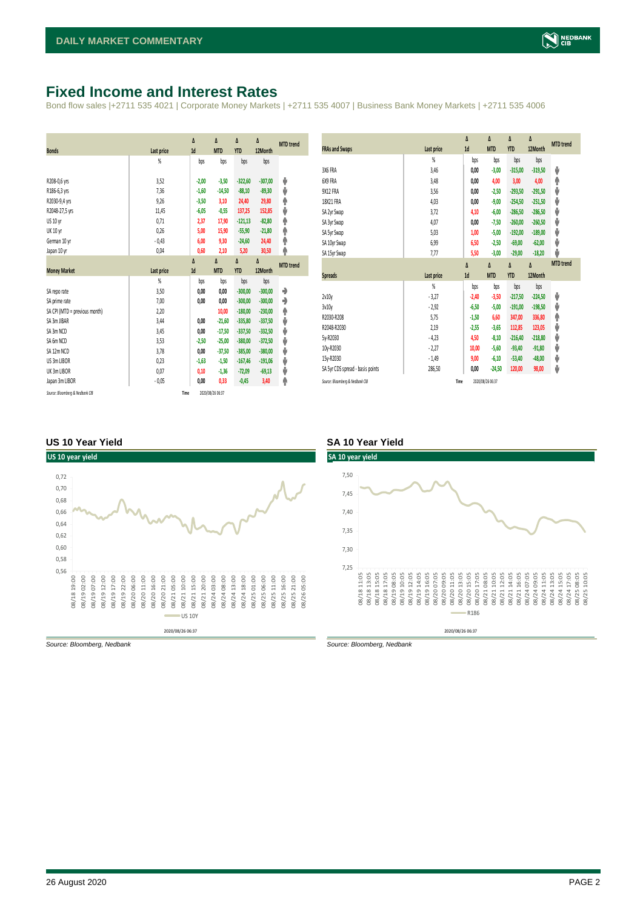## <span id="page-1-0"></span>**Fixed Income and Interest Rates**

Bond flow sales |+2711 535 4021 | Corporate Money Markets | +2711 535 4007 | Business Bank Money Markets | +2711 535 4006

| <b>Bonds</b>                  | <b>Last price</b> | Δ<br>1d | Δ<br><b>MTD</b> | Δ<br><b>YTD</b> | Δ<br>12Month | <b>MTD</b> trend |
|-------------------------------|-------------------|---------|-----------------|-----------------|--------------|------------------|
|                               | %                 | bps     | bps             | bps             | bps          |                  |
|                               |                   |         |                 |                 |              |                  |
| R208-0,6 yrs                  | 3,52              | $-2,00$ | $-3,50$         | $-322,60$       | $-307,00$    | ψ                |
| R186-6,3 yrs                  | 7.36              | $-1,60$ | $-14,50$        | $-88,10$        | $-89,30$     | ψ                |
| R2030-9,4 yrs                 | 9,26              | $-3,50$ | 3,10            | 24,40           | 29,80        | ۸                |
| R2048-27,5 yrs                | 11,45             | $-6,05$ | $-0,55$         | 137,25          | 152,85       | ψ                |
| US 10 yr                      | 0,71              | 2,37    | 17,90           | $-121,13$       | $-82,80$     | φ                |
| <b>UK 10 yr</b>               | 0,26              | 5,00    | 15,90           | $-55,90$        | $-21,80$     | ۸                |
| German 10 yr                  | $-0,43$           | 6,00    | 9,30            | $-24,60$        | 24,40        | ۸                |
| Japan 10 yr                   | 0,04              | 0,60    | 2,10            | 5,20            | 30,50        | φ                |
|                               |                   | Δ       | Δ               | Δ               | Δ            | <b>MTD</b> trend |
| <b>Money Market</b>           | <b>Last price</b> | 1d      | <b>MTD</b>      | <b>YTD</b>      | 12Month      |                  |
|                               | $\frac{9}{20}$    | bps     | bps             | bps             | bps          |                  |
| SA repo rate                  | 3,50              | 0,00    | 0,00            | $-300,00$       | $-300,00$    | ۰                |
| SA prime rate                 | 7,00              | 0,00    | 0,00            | $-300,00$       | $-300,00$    | ٠                |
| SA CPI (MTD = previous month) | 2,20              |         | 10,00           | $-180.00$       | $-230,00$    | ۸                |
| SA 3m JIBAR                   | 3,44              | 0,00    | $-21,60$        | $-335,80$       | $-337,50$    | ψ                |
| SA 3m NCD                     | 3,45              | 0,00    | $-17,50$        | $-337,50$       | $-332,50$    | ψ                |
| SA 6m NCD                     | 3,53              | $-2,50$ | $-25,00$        | $-380,00$       | $-372,50$    | ψ                |
| SA 12m NCD                    | 3,78              | 0.00    | $-37,50$        | $-385.00$       | $-380,00$    | ψ                |
| US 3m LIBOR                   | 0,23              | $-1,63$ | $-1,50$         | $-167,46$       | $-191,06$    | ψ                |
| UK 3m LIBOR                   | 0,07              | 0,10    | $-1,36$         | $-72,09$        | $-69,13$     | ψ                |
| Japan 3m LIBOR                | $-0,05$           | 0.00    | 0,33            | $-0,45$         | 3,40         | φ                |
|                               |                   |         |                 |                 |              |                  |

| <b>FRAs and Swaps</b>            | Last price     | Δ<br>1d | Δ<br><b>MTD</b> | Δ<br><b>YTD</b> | Δ<br>12Month | <b>MTD</b> trend |
|----------------------------------|----------------|---------|-----------------|-----------------|--------------|------------------|
|                                  | $\frac{9}{20}$ | bps     | bps             | bps             | bps          |                  |
| 3X6 FRA                          | 3,46           | 0,00    | $-3,00$         | $-315,00$       | $-319,50$    | ψ                |
| 6X9 FRA                          | 3,48           | 0,00    | 4,00            | 3,00            | 4,00         | ۸                |
| 9X12 FRA                         | 3,56           | 0,00    | $-2,50$         | $-293,50$       | $-291,50$    | ψ                |
| 18X21 FRA                        | 4,03           | 0,00    | $-9,00$         | $-254,50$       | $-251,50$    | ψ                |
| SA 2yr Swap                      | 3,72           | 4,10    | $-6,00$         | $-286,50$       | $-286,50$    | ψ                |
| SA 3yr Swap                      | 4,07           | 0,00    | $-7,50$         | $-260,00$       | $-260,50$    | ψ                |
| SA 5yr Swap                      | 5,03           | 1,00    | $-5,00$         | $-192,00$       | $-189,00$    | ψ                |
| SA 10yr Swap                     | 6,99           | 6,50    | $-2,50$         | $-69,00$        | $-62,00$     | ψ                |
| SA 15yr Swap                     | 7,77           | 5,50    | $-3,00$         | $-29,00$        | $-18,20$     | J                |
|                                  |                |         |                 |                 |              |                  |
|                                  |                | Δ       | Δ               | Δ               | Δ            | <b>MTD</b> trend |
| <b>Spreads</b>                   | Last price     | 1d      | <b>MTD</b>      | <b>YTD</b>      | 12Month      |                  |
|                                  | $\frac{9}{20}$ | bps     | bps             | bps             | bps          |                  |
| 2v10v                            | $-3,27$        | $-2,40$ | $-3,50$         | $-217,50$       | $-224,50$    | ψ                |
| 3v10y                            | $-2,92$        | $-6,50$ | $-5,00$         | $-191,00$       | $-198,50$    | ψ                |
| R2030-R208                       | 5,75           | $-1,50$ | 6,60            | 347,00          | 336,80       | φ                |
| R2048-R2030                      | 2,19           | $-2,55$ | $-3,65$         | 112,85          | 123,05       | V                |
| 5y-R2030                         | $-4,23$        | 4,50    | $-8,10$         | $-216,40$       | $-218,80$    | ψ                |
| 10y-R2030                        | $-2,27$        | 10,00   | $-5,60$         | $-93,40$        | $-91,80$     | ψ                |
| 15y-R2030                        | $-1,49$        | 9,00    | $-6,10$         | $-53,40$        | $-48,00$     | ψ                |
| SA 5yr CDS spread - basis points | 286,50         | 0,00    | $-24,50$        | 120,00          | 98,00        | ψ                |

#### **US 10 Year Yield SA 10 Year Yield**



*Source: Bloomberg, Nedbank Source: Bloomberg, Nedbank*

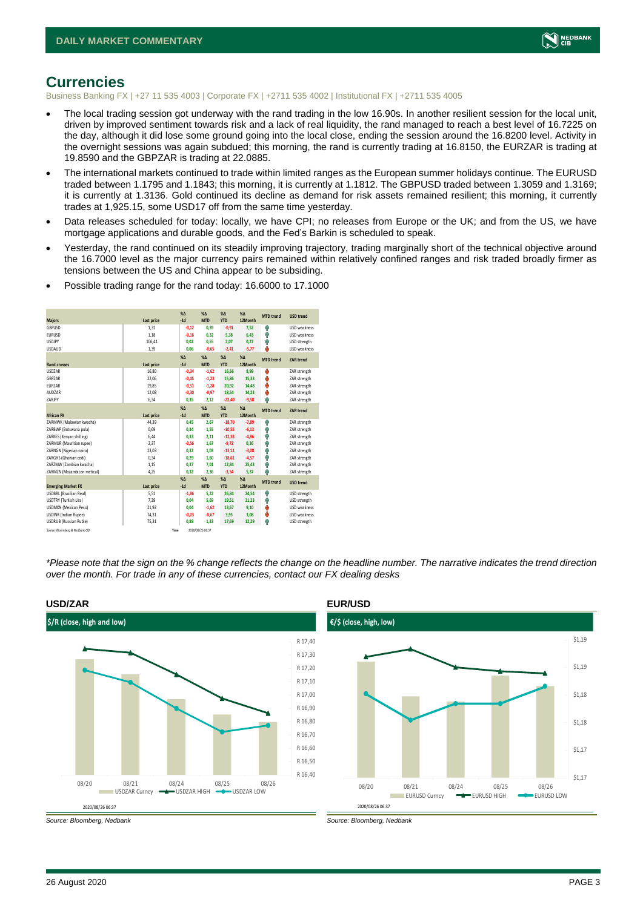

# <span id="page-2-0"></span>**Currencies**

Business Banking FX | +27 11 535 4003 | Corporate FX | +2711 535 4002 | Institutional FX | +2711 535 4005

- The local trading session got underway with the rand trading in the low 16.90s. In another resilient session for the local unit, driven by improved sentiment towards risk and a lack of real liquidity, the rand managed to reach a best level of 16.7225 on the day, although it did lose some ground going into the local close, ending the session around the 16.8200 level. Activity in the overnight sessions was again subdued; this morning, the rand is currently trading at 16.8150, the EURZAR is trading at 19.8590 and the GBPZAR is trading at 22.0885.
- The international markets continued to trade within limited ranges as the European summer holidays continue. The EURUSD traded between 1.1795 and 1.1843; this morning, it is currently at 1.1812. The GBPUSD traded between 1.3059 and 1.3169; it is currently at 1.3136. Gold continued its decline as demand for risk assets remained resilient; this morning, it currently trades at 1,925.15, some USD17 off from the same time yesterday.
- Data releases scheduled for today: locally, we have CPI; no releases from Europe or the UK; and from the US, we have mortgage applications and durable goods, and the Fed's Barkin is scheduled to speak.
- Yesterday, the rand continued on its steadily improving trajectory, trading marginally short of the technical objective around the 16.7000 level as the major currency pairs remained within relatively confined ranges and risk traded broadly firmer as tensions between the US and China appear to be subsiding.

|                                 |            | X <sub>A</sub> | X <sub>A</sub>   | $% \Delta$ | $% \Delta$ | <b>MTD</b> trend | <b>USD trend</b>    |
|---------------------------------|------------|----------------|------------------|------------|------------|------------------|---------------------|
| <b>Majors</b>                   | Last price | $-1d$          | <b>MTD</b>       | <b>YTD</b> | 12Month    |                  |                     |
| GBPUSD                          | 1.31       | $-0,12$        | 0.39             | $-0.91$    | 7.52       | ŵ                | <b>USD</b> weakness |
| <b>EURUSD</b>                   | 1.18       | $-0,16$        | 0.32             | 5,38       | 6.43       | Ŵ                | USD weakness        |
| <b>USDJPY</b>                   | 106,41     | 0.02           | 0.55             | 2,07       | 0.27       | Ŵ                | USD strength        |
| <b>USDAUD</b>                   | 1,39       | 0,06           | $-0,65$          | $-2,41$    | $-5,77$    | J                | USD weakness        |
|                                 |            | $X\Delta$      | X <sub>A</sub>   | $% \Delta$ | $% \Delta$ | <b>MTD</b> trend | ZAR trend           |
| <b>Rand crosses</b>             | Last price | $-1d$          | <b>MTD</b>       | <b>YTD</b> | 12Month    |                  |                     |
| <b>USDZAR</b>                   | 16,80      | $-0.34$        | $-1.62$          | 16,66      | 8.99       | ψ                | ZAR strength        |
| GBPZAR                          | 22,06      | $-0,45$        | $-1,23$          | 15,86      | 15,33      | ψ                | ZAR strength        |
| <b>FURZAR</b>                   | 19,85      | $-0.51$        | $-1.28$          | 20,92      | 14.48      | ψ                | ZAR strength        |
| AUDZAR                          | 12,08      | $-0,30$        | $-0,97$          | 18,54      | 14,23      | ψ                | ZAR strength        |
| ZARJPY                          | 6,34       | 0,35           | 2,12             | $-22,40$   | $-9,58$    | ٨                | ZAR strength        |
|                                 |            | $X\Delta$      | $X\Delta$        | $% \Delta$ | $% \Delta$ | <b>MTD</b> trend | ZAR trend           |
| <b>African FX</b>               | Last price | $-1d$          | <b>MTD</b>       | <b>YTD</b> | 12Month    |                  |                     |
| ZARMWK (Malawian kwacha)        | 44,39      | 0,45           | 2,67             | $-18,70$   | $-7,89$    | Φ                | ZAR strength        |
| ZARBWP (Botswana pula)          | 0.69       | 0.34           | 1.55             | $-10,55$   | $-6,13$    | Ŵ                | ZAR strength        |
| ZARKES (Kenyan shilling)        | 6,44       | 0,33           | 2.11             | $-12,33$   | $-4,86$    | Φ                | ZAR strength        |
| ZARMUR (Mauritian rupee)        | 2.37       | $-0.56$        | 1.67             | $-9.72$    | 0.36       | Ą                | ZAR strength        |
| ZARNGN (Nigerian naira)         | 23,03      | 0,32           | 1.03             | $-13,11$   | $-3,08$    | Φ                | ZAR strength        |
| ZARGHS (Ghanian cedi)           | 0.34       | 0.29           | 1.60             | $-18,61$   | $-4.57$    | φ                | ZAR strength        |
| ZARZMW (Zambian kwacha)         | 1,15       | 0.37           | 7.01             | 12,84      | 25,43      | 4                | ZAR strength        |
| ZARMZN (Mozambican metical)     | 4,25       | 0.32           | 2,36             | $-3,54$    | 5,37       | A                | ZAR strength        |
|                                 |            | X <sub>A</sub> | X <sub>A</sub>   | $% \Delta$ | $% \Delta$ | <b>MTD</b> trend | <b>USD</b> trend    |
| <b>Emerging Market FX</b>       | Last price | $-1d$          | <b>MTD</b>       | <b>YTD</b> | 12Month    |                  |                     |
| <b>USDBRL</b> (Brazilian Real)  | 5,51       | $-1,86$        | 5.22             | 26,84      | 24,54      | ŵ                | USD strength        |
| USDTRY (Turkish Lira)           | 7,39       | 0,04           | 5.69             | 19,51      | 21,23      | φ                | USD strength        |
| USDMXN (Mexican Peso)           | 21,92      | 0.04           | $-1.62$          | 13,67      | 9.10       | ψ                | <b>USD</b> weakness |
| <b>USDINR</b> (Indian Rupee)    | 74,31      | $-0,03$        | $-0,67$          | 3,95       | 3,08       | ψ                | USD weakness        |
| <b>USDRUB (Russian Ruble)</b>   | 75,31      | 0.88           | 1.23             | 17,69      | 12.29      | Ŵ                | USD strength        |
| Source: Bloomberg & Nedbank CIB |            | Time           | 2020/08/26 06:37 |            |            |                  |                     |

• Possible trading range for the rand today: 16.6000 to 17.1000

*\*Please note that the sign on the % change reflects the change on the headline number. The narrative indicates the trend direction over the month. For trade in any of these currencies, contact our FX dealing desks*



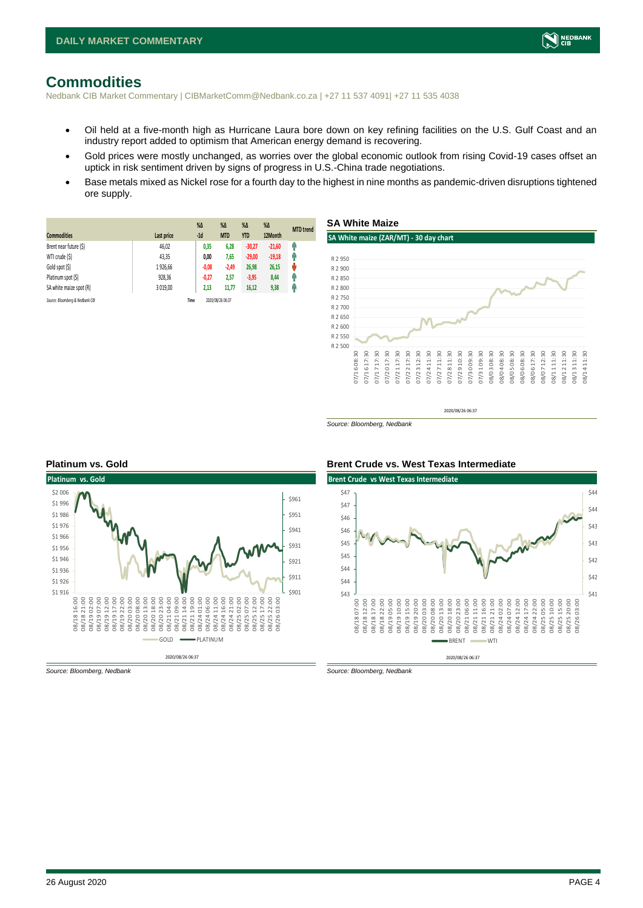

### <span id="page-3-0"></span>**Commodities**

Nedbank CIB Market Commentary | CIBMarketComm@Nedbank.co.za | +27 11 537 4091| +27 11 535 4038

- Oil held at a five-month high as Hurricane Laura bore down on key refining facilities on the U.S. Gulf Coast and an industry report added to optimism that American energy demand is recovering.
- Gold prices were mostly unchanged, as worries over the global economic outlook from rising Covid-19 cases offset an uptick in risk sentiment driven by signs of progress in U.S.-China trade negotiations.
- Base metals mixed as Nickel rose for a fourth day to the highest in nine months as pandemic-driven disruptions tightened ore supply.

|                                 |            | $%$ $\Delta$ | %Δ               | $%$ $\Delta$ | $\%$ $\Delta$ | <b>MTD</b> trend |
|---------------------------------|------------|--------------|------------------|--------------|---------------|------------------|
| <b>Commodities</b>              | Last price | $-1d$        | <b>MTD</b>       | <b>YTD</b>   | 12Month       |                  |
| Brent near future (\$)          | 46,02      | 0,35         | 6,28             | $-30,27$     | $-21,60$      | φ                |
| WTI crude (\$)                  | 43,35      | 0,00         | 7,65             | $-29,00$     | $-19,18$      | Ĥ                |
| Gold spot (\$)                  | 1926.66    | $-0,08$      | $-2.49$          | 26,98        | 26,15         | ŵ                |
| Platinum spot (\$)              | 928,36     | $-0,27$      | 2,57             | $-3,95$      | 8,44          | q                |
| SA white maize spot (R)         | 3 019.00   | 2,13         | 11.77            | 16,12        | 9,38          | Ĥ                |
| Source: Bloombera & Nedbank CIB |            | Time         | 2020/08/26 06:37 |              |               |                  |



*Source: Bloomberg, Nedbank*





*Source: Bloomberg, Nedbank Source: Bloomberg, Nedbank*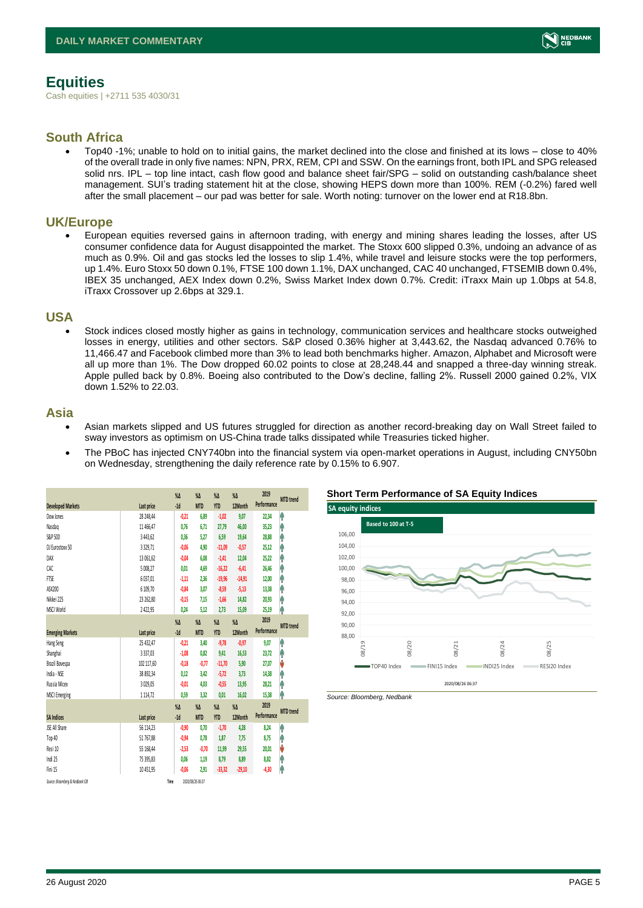# <span id="page-4-0"></span>**Equities**

Cash equities | +2711 535 4030/31

#### **South Africa**

• Top40 -1%; unable to hold on to initial gains, the market declined into the close and finished at its lows – close to 40% of the overall trade in only five names: NPN, PRX, REM, CPI and SSW. On the earnings front, both IPL and SPG released solid nrs. IPL – top line intact, cash flow good and balance sheet fair/SPG – solid on outstanding cash/balance sheet management. SUI's trading statement hit at the close, showing HEPS down more than 100%. REM (-0.2%) fared well after the small placement – our pad was better for sale. Worth noting: turnover on the lower end at R18.8bn.

#### **UK/Europe**

• European equities reversed gains in afternoon trading, with energy and mining shares leading the losses, after US consumer confidence data for August disappointed the market. The Stoxx 600 slipped 0.3%, undoing an advance of as much as 0.9%. Oil and gas stocks led the losses to slip 1.4%, while travel and leisure stocks were the top performers, up 1.4%. Euro Stoxx 50 down 0.1%, FTSE 100 down 1.1%, DAX unchanged, CAC 40 unchanged, FTSEMIB down 0.4%, IBEX 35 unchanged, AEX Index down 0.2%, Swiss Market Index down 0.7%. Credit: iTraxx Main up 1.0bps at 54.8, iTraxx Crossover up 2.6bps at 329.1.

#### **USA**

• Stock indices closed mostly higher as gains in technology, communication services and healthcare stocks outweighed losses in energy, utilities and other sectors. S&P closed 0.36% higher at 3,443.62, the Nasdaq advanced 0.76% to 11,466.47 and Facebook climbed more than 3% to lead both benchmarks higher. Amazon, Alphabet and Microsoft were all up more than 1%. The Dow dropped 60.02 points to close at 28,248.44 and snapped a three-day winning streak. Apple pulled back by 0.8%. Boeing also contributed to the Dow's decline, falling 2%. Russell 2000 gained 0.2%, VIX down 1.52% to 22.03.

#### **Asia**

- Asian markets slipped and US futures struggled for direction as another record-breaking day on Wall Street failed to sway investors as optimism on US-China trade talks dissipated while Treasuries ticked higher.
- The PBoC has injected CNY740bn into the financial system via open-market operations in August, including CNY50bn on Wednesday, strengthening the daily reference rate by 0.15% to 6.907.

| <b>Developed Markets</b>        | Last price    | $\%$ $\Delta$<br>$-1d$ | $\%$ $\Delta$<br><b>MTD</b> | $\%$ $\Delta$<br><b>YTD</b> | $\%$ $\Delta$<br>12Month | 2019<br>Performance | <b>MTD</b> trend |
|---------------------------------|---------------|------------------------|-----------------------------|-----------------------------|--------------------------|---------------------|------------------|
| Dow Jones                       |               |                        |                             |                             |                          |                     |                  |
|                                 | 28 248,44     | $-0,21$                | 6,89                        | $-1,02$                     | 9,07                     | 22,34               | ۸                |
| Nasdao                          | 11 466.47     | 0.76                   | 6.71                        | 27,79                       | 46.00                    | 35,23               | ۸                |
| S&P 500                         | 3 443,62      | 0,36                   | 5,27                        | 6,59                        | 19,64                    | 28,88               | ł                |
| DJ Eurostoxx 50                 | 3329,71       | $-0,06$                | 4,90                        | $-11,09$                    | $-0,57$                  | 25,12               | ۸                |
| DAX                             | 13 061,62     | $-0.04$                | 6.08                        | $-1,41$                     | 12.04                    | 25,22               | Ĥ                |
| CAC                             | 5 008.27      | 0.01                   | 4.69                        | $-16,22$                    | $-6,41$                  | 26,46               | Ĥ                |
| <b>FTSE</b>                     | 6037,01       | $-1,11$                | 2,36                        | $-19,96$                    | $-14,91$                 | 12,00               | ٨                |
| ASX200                          | 6 109,70      | $-0,84$                | 3,07                        | $-8,59$                     | $-5,13$                  | 13,38               | ۸                |
| Nikkei 225                      | 23 262,80     | $-0.15$                | 7,15                        | $-1,66$                     | 14,82                    | 20,93               | ۸                |
| MSCI World                      | 2 4 2 2.95    | 0,24                   | 5,12                        | 2,73                        | 15,09                    | 25,19               | ۸                |
|                                 |               | $\sqrt{\Lambda}$       | $\%$ $\Delta$               | $\%$ $\Delta$               | $\%$ $\Delta$            | 2019                |                  |
| <b>Emerging Markets</b>         | Last price    | $-1d$                  | <b>MTD</b>                  | <b>YTD</b>                  | 12Month                  | Performance         | <b>MTD</b> trend |
| Hang Seng                       | 25 432,47     | $-0,21$                | 3,40                        | $-9,78$                     | $-0.97$                  | 9,07                | ۸                |
| Shanghai                        | 3 3 3 7 , 0 3 | $-1,08$                | 0.82                        | 9,41                        | 16,53                    | 23,72               | ۸                |
| Brazil Bovespa                  | 102 117,60    | $-0.18$                | $-0.77$                     | $-11,70$                    | 5,90                     | 27,07               | J                |
| India - NSE                     | 38 892,34     | 0,12                   | 3,42                        | $-5, 72$                    | 3,73                     | 14,38               | ۸                |
| Russia Micex                    | 3 0 29,05     | $-0.01$                | 4.03                        | $-0,55$                     | 13,95                    | 28,21               | ۸                |
| <b>MSCI Emerging</b>            | 1 1 1 4, 7 2  | 0,59                   | 3,32                        | 0,01                        | 16,02                    | 15,38               | ۸                |
|                                 |               | $\%$ $\Delta$          | $\%$ $\Delta$               | $\%$ $\Delta$               | $\%$ $\Delta$            | 2019                | <b>MTD</b> trend |
| <b>SA Indices</b>               | Last price    | $-1d$                  | <b>MTD</b>                  | <b>YTD</b>                  | 12Month                  | Performance         |                  |
| JSE All Share                   | 56 114,23     | $-0.90$                | 0.70                        | $-1,70$                     | 4,28                     | 8,24                | ۸                |
| Top 40                          | 51 767,88     | $-0,94$                | 0,78                        | 1,87                        | 7,75                     | 8,75                | ۸                |
| Resi 10                         | 55 168,44     | $-2,53$                | $-0.70$                     | 11,99                       | 29,55                    | 20,01               | J                |
| Indi 25                         | 75 395,83     | 0,06                   | 1,19                        | 8,79                        | 8,89                     | 8,82                | φ                |
| Fini 15                         | 10 451.95     | $-0,06$                | 2.91                        | $-33,32$                    | $-29,10$                 | $-4,30$             | ۸                |
| Source: Bloomberg & Nedbank CIB |               | Time                   | 2020/08/26 06:37            |                             |                          |                     |                  |

#### **Short Term Performance of SA Equity Indices**





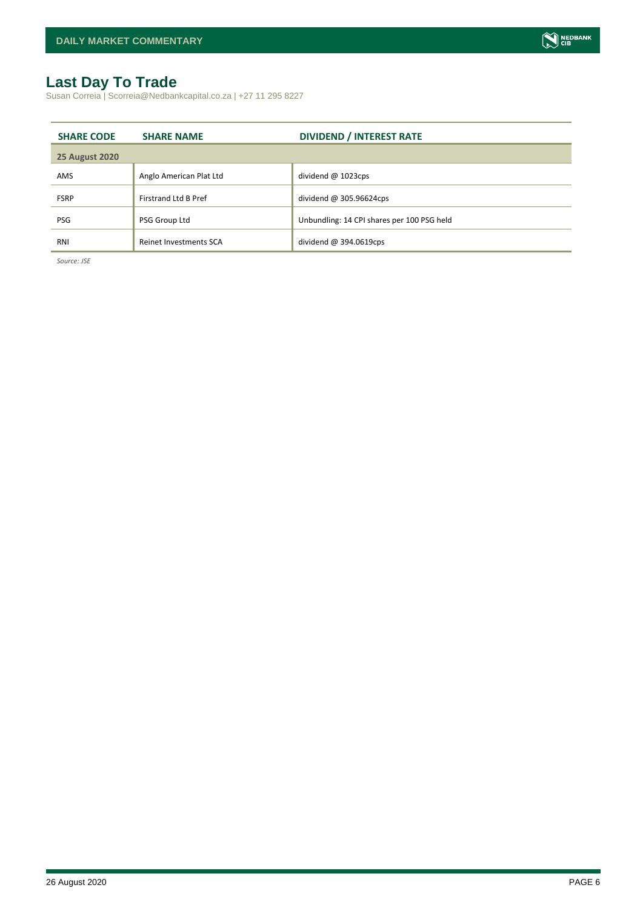# <span id="page-5-0"></span>**Last Day To Trade**

Susan Correia | Scorreia@Nedbankcapital.co.za | +27 11 295 8227

| <b>SHARE CODE</b>     | <b>SHARE NAME</b>           | <b>DIVIDEND / INTEREST RATE</b>            |
|-----------------------|-----------------------------|--------------------------------------------|
| <b>25 August 2020</b> |                             |                                            |
| AMS                   | Anglo American Plat Ltd     | dividend @ 1023cps                         |
| <b>FSRP</b>           | <b>Firstrand Ltd B Pref</b> | dividend @ 305.96624cps                    |
| <b>PSG</b>            | PSG Group Ltd               | Unbundling: 14 CPI shares per 100 PSG held |
| RNI                   | Reinet Investments SCA      | dividend $@394.0619$ cps                   |

*Source: JSE*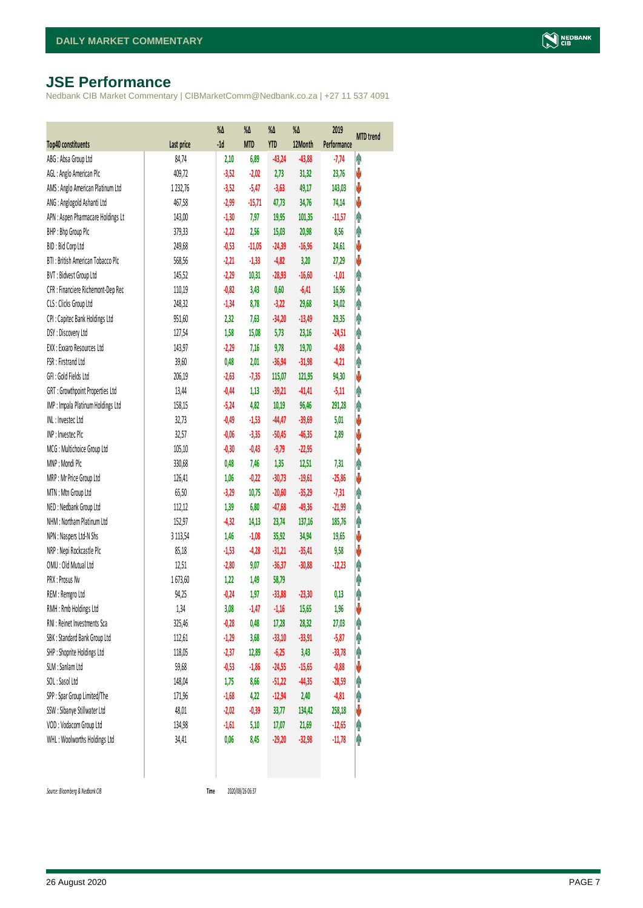# <span id="page-6-0"></span>**JSE Performance**

Nedbank CIB Market Commentary | CIBMarketComm@Nedbank.co.za | +27 11 537 4091

|                                    |             | $\%$ $\Delta$ | %Δ         | %Δ       | %Δ       | 2019        | <b>MTD</b> trend |
|------------------------------------|-------------|---------------|------------|----------|----------|-------------|------------------|
| Top40 constituents                 | Last price  | $-1d$         | <b>MTD</b> | YTD      | 12Month  | Performance |                  |
| ABG: Absa Group Ltd                | 84,74       | 2,10          | 6,89       | $-43,24$ | $-43,88$ | $-7,74$     | φ                |
| AGL: Anglo American Plc            | 409,72      | $-3,52$       | $-2,02$    | 2,73     | 31,32    | 23,76       | V                |
| AMS: Anglo American Platinum Ltd   | 1 2 3 2, 76 | $-3,52$       | $-5,47$    | $-3,63$  | 49,17    | 143,03      | V                |
| ANG: Anglogold Ashanti Ltd         | 467,58      | $-2,99$       | $-15,71$   | 47,73    | 34,76    | 74,14       | ψ                |
| APN : Aspen Pharmacare Holdings Lt | 143,00      | $-1,30$       | 7,97       | 19,95    | 101,35   | $-11,57$    | φ                |
| BHP: Bhp Group Plc                 | 379,33      | $-2,22$       | 2,56       | 15,03    | 20,98    | 8,56        | φ                |
| BID: Bid Corp Ltd                  | 249,68      | $-0,53$       | $-11,05$   | $-24,39$ | $-16,96$ | 24,61       | ψ                |
| BTI: British American Tobacco Plc  | 568,56      | $-2,21$       | $-1,33$    | $-4,82$  | 3,20     | 27,29       | V                |
| BVT: Bidvest Group Ltd             | 145,52      | $-2,29$       | 10,31      | $-28,93$ | $-16,60$ | $-1,01$     | φ                |
| CFR : Financiere Richemont-Dep Rec | 110,19      | $-0,82$       | 3,43       | 0,60     | $-6,41$  | 16,96       | Ą                |
| CLS : Clicks Group Ltd             | 248,32      | $-1,34$       | 8,78       | $-3,22$  | 29,68    | 34,02       | φ                |
| CPI : Capitec Bank Holdings Ltd    | 951,60      | 2,32          | 7,63       | $-34,20$ | $-13,49$ | 29,35       | φ                |
| DSY: Discovery Ltd                 | 127,54      | 1,58          | 15,08      | 5,73     | 23,16    | $-24,51$    | φ                |
| EXX : Exxaro Resources Ltd         | 143,97      | $-2,29$       | 7,16       | 9,78     | 19,70    | $-4,88$     | φ                |
| FSR: Firstrand Ltd                 | 39,60       | 0,48          | 2,01       | $-36,94$ | $-31,98$ | $-4,21$     | φ                |
| GFI: Gold Fields Ltd               | 206,19      | $-2,63$       | $-7,35$    | 115,07   | 121,95   | 94,30       | ψ                |
| GRT : Growthpoint Properties Ltd   | 13,44       | $-0,44$       | 1,13       | $-39,21$ | $-41,41$ | $-5,11$     | Ą                |
| IMP : Impala Platinum Holdings Ltd | 158,15      | $-5,24$       | 4,82       | 10,19    | 96,46    | 291,28      | φ                |
| INL: Investec Ltd                  | 32,73       | $-0,49$       | $-1,53$    | $-44,47$ | $-39,69$ | 5,01        | ψ                |
| INP: Invested Plc                  | 32,57       | $-0,06$       | $-3,35$    | $-50,45$ | $-46,35$ | 2,89        | ψ                |
| MCG: Multichoice Group Ltd         | 105,10      | $-0,30$       | $-0,43$    | $-9,79$  | $-22,95$ |             | V                |
| MNP: Mondi Plc                     | 330,68      | 0,48          | 7,46       | 1,35     | 12,51    | 7,31        | φ                |
| MRP : Mr Price Group Ltd           | 126,41      | 1,06          | $-0,22$    | $-30,73$ | $-19,61$ | $-25,86$    | ψ                |
| MTN: Mtn Group Ltd                 | 65,50       | $-3,29$       | 10,75      | $-20,60$ | $-35,29$ | $-7,31$     | φ                |
| NED: Nedbank Group Ltd             | 112,12      | 1,39          | 6,80       | $-47,68$ | $-49,36$ | $-21,99$    | φ                |
| NHM: Northam Platinum Ltd          | 152,97      | $-4,32$       | 14,13      | 23,74    | 137,16   | 185,76      | φ                |
| NPN : Naspers Ltd-N Shs            | 3 1 1 3, 54 | 1,46          | $-1,08$    | 35,92    | 34,94    | 19,65       | V                |
| NRP : Nepi Rockcastle Plc          | 85,18       | $-1,53$       | $-4,28$    | $-31,21$ | $-35,41$ | 9,58        | ψ                |
| OMU: Old Mutual Ltd                | 12,51       | $-2,80$       | 9,07       | $-36,37$ | $-30,88$ | $-12,23$    | φ                |
| PRX: Prosus Nv                     | 1673,60     | 1,22          | 1,49       | 58,79    |          |             | φ                |
| REM : Remgro Ltd                   | 94,25       | $-0,24$       | 1,97       | $-33,88$ | $-23,30$ | 0,13        | φ                |
| RMH: Rmb Holdings Ltd              | 1,34        | 3,08          | $-1,47$    | $-1,16$  | 15,65    | 1,96        | ψ                |
| RNI : Reinet Investments Sca       | 325,46      | $-0,28$       | 0,48       | 17,28    | 28,32    | 27,03       | φ                |
| SBK: Standard Bank Group Ltd       | 112,61      | $-1,29$       | 3,68       | $-33,10$ | $-33,91$ | $-5,87$     | φ                |
| SHP: Shoprite Holdings Ltd         | 118,05      | $-2,37$       | 12,89      | $-6,25$  | 3,43     | $-33,78$    | φ                |
| SLM : Sanlam Ltd                   | 59,68       | $-0,53$       | $-1,86$    | $-24,55$ | $-15,65$ | $-0,88$     | ψ                |
| SOL: Sasol Ltd                     | 148,04      | 1,75          | 8,66       | $-51,22$ | $-44,35$ | $-28,59$    | φ                |
| SPP: Spar Group Limited/The        | 171,96      | $-1,68$       | 4,22       | $-12,94$ | 2,40     | $-4,81$     | φ                |
| SSW : Sibanye Stillwater Ltd       | 48,01       | $-2,02$       | $-0,39$    | 33,77    | 134,42   | 258,18      | V                |
| VOD: Vodacom Group Ltd             | 134,98      | $-1,61$       | 5,10       | 17,07    | 21,69    | $-12,65$    | φ                |
| WHL: Woolworths Holdings Ltd       | 34,41       | 0,06          | 8,45       | $-29,20$ | $-32,98$ | $-11,78$    | φ                |
|                                    |             |               |            |          |          |             |                  |

<span id="page-6-1"></span> $Source: Bloomberg & Nedbank *CB*$ 

Time 2020/08/26 06:37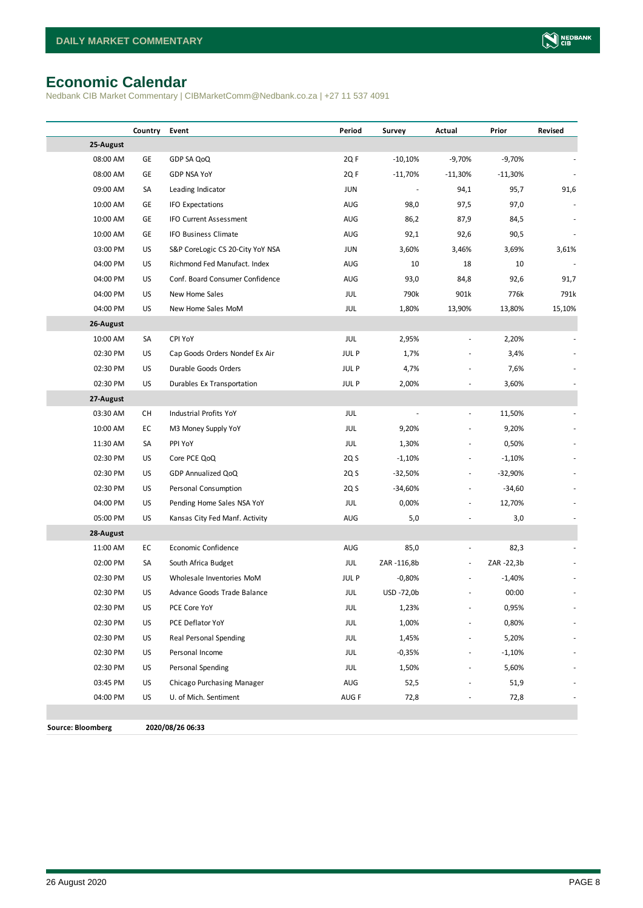# <span id="page-7-0"></span>**Economic Calendar**

Nedbank CIB Market Commentary | CIBMarketComm@Nedbank.co.za | +27 11 537 4091

|                          | Country | Event                            | Period      | Survey     | Actual                   | Prior      | Revised |
|--------------------------|---------|----------------------------------|-------------|------------|--------------------------|------------|---------|
| 25-August                |         |                                  |             |            |                          |            |         |
| 08:00 AM                 | GE      | GDP SA QoQ                       | 2QF         | $-10,10%$  | $-9,70%$                 | $-9,70%$   |         |
| 08:00 AM                 | GE      | <b>GDP NSA YoY</b>               | 2QF         | $-11,70%$  | $-11,30%$                | $-11,30%$  |         |
| 09:00 AM                 | SA      | Leading Indicator                | <b>JUN</b>  |            | 94,1                     | 95,7       | 91,6    |
| 10:00 AM                 | GE      | <b>IFO Expectations</b>          | AUG         | 98,0       | 97,5                     | 97,0       |         |
| 10:00 AM                 | GE      | <b>IFO Current Assessment</b>    | AUG         | 86,2       | 87,9                     | 84,5       |         |
| 10:00 AM                 | GE      | IFO Business Climate             | AUG         | 92,1       | 92,6                     | 90,5       |         |
| 03:00 PM                 | US      | S&P CoreLogic CS 20-City YoY NSA | <b>JUN</b>  | 3,60%      | 3,46%                    | 3,69%      | 3,61%   |
| 04:00 PM                 | US      | Richmond Fed Manufact. Index     | AUG         | 10         | 18                       | 10         |         |
| 04:00 PM                 | US      | Conf. Board Consumer Confidence  | AUG         | 93,0       | 84,8                     | 92,6       | 91,7    |
| 04:00 PM                 | US      | New Home Sales                   | JUL         | 790k       | 901k                     | 776k       | 791k    |
| 04:00 PM                 | US      | New Home Sales MoM               | JUL         | 1,80%      | 13,90%                   | 13,80%     | 15,10%  |
| 26-August                |         |                                  |             |            |                          |            |         |
| 10:00 AM                 | SA      | CPI YoY                          | JUL         | 2,95%      |                          | 2,20%      |         |
| 02:30 PM                 | US      | Cap Goods Orders Nondef Ex Air   | <b>JULP</b> | 1,7%       |                          | 3,4%       |         |
| 02:30 PM                 | US      | Durable Goods Orders             | <b>JULP</b> | 4,7%       |                          | 7,6%       |         |
| 02:30 PM                 | US      | Durables Ex Transportation       | <b>JULP</b> | 2,00%      |                          | 3,60%      |         |
| 27-August                |         |                                  |             |            |                          |            |         |
| 03:30 AM                 | СH      | Industrial Profits YoY           | <b>JUL</b>  |            | $\overline{a}$           | 11,50%     |         |
| 10:00 AM                 | EC      | M3 Money Supply YoY              | <b>JUL</b>  | 9,20%      | $\frac{1}{2}$            | 9,20%      |         |
| 11:30 AM                 | SA      | PPI YoY                          | JUL         | 1,30%      | ٠                        | 0,50%      |         |
| 02:30 PM                 | US      | Core PCE QoQ                     | 2Q S        | $-1,10%$   | $\frac{1}{2}$            | $-1,10%$   |         |
| 02:30 PM                 | US      | GDP Annualized QoQ               | 2Q S        | $-32,50%$  | $\frac{1}{2}$            | $-32,90%$  |         |
| 02:30 PM                 | US      | Personal Consumption             | 2Q S        | -34,60%    |                          | $-34,60$   |         |
| 04:00 PM                 | US      | Pending Home Sales NSA YoY       | JUL         | 0,00%      |                          | 12,70%     |         |
| 05:00 PM                 | US      | Kansas City Fed Manf. Activity   | AUG         | 5,0        |                          | 3,0        |         |
| 28-August                |         |                                  |             |            |                          |            |         |
| 11:00 AM                 | EC      | Economic Confidence              | AUG         | 85,0       | $\overline{\phantom{a}}$ | 82,3       |         |
| 02:00 PM                 | SA      | South Africa Budget              | JUL         | ZAR-116,8b | $\overline{\phantom{a}}$ | ZAR -22,3b |         |
| 02:30 PM                 | US      | Wholesale Inventories MoM        | <b>JULP</b> | $-0,80%$   |                          | $-1,40%$   |         |
| 02:30 PM                 | US      | Advance Goods Trade Balance      | JUL         | USD -72,0b |                          | 00:00      |         |
| 02:30 PM                 | US      | PCE Core YoY                     | JUL         | 1,23%      |                          | 0,95%      |         |
| 02:30 PM                 | US      | PCE Deflator YoY                 | JUL         | 1,00%      |                          | 0,80%      |         |
| 02:30 PM                 | US      | Real Personal Spending           | JUL         | 1,45%      |                          | 5,20%      |         |
| 02:30 PM                 | US      | Personal Income                  | JUL         | $-0,35%$   |                          | $-1,10%$   |         |
| 02:30 PM                 | US      | Personal Spending                | <b>JUL</b>  | 1,50%      |                          | 5,60%      |         |
| 03:45 PM                 | US      | Chicago Purchasing Manager       | AUG         | 52,5       |                          | 51,9       |         |
| 04:00 PM                 | US      | U. of Mich. Sentiment            | AUG F       | 72,8       |                          | 72,8       |         |
|                          |         |                                  |             |            |                          |            |         |
| <b>Source: Bloomberg</b> |         | 2020/08/26 06:33                 |             |            |                          |            |         |